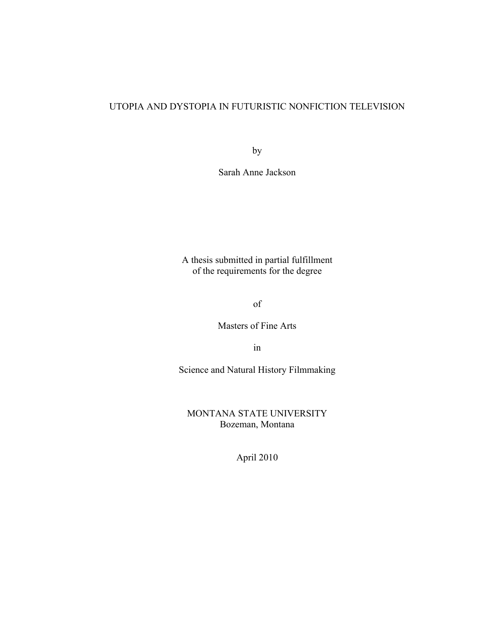## UTOPIA AND DYSTOPIA IN FUTURISTIC NONFICTION TELEVISION

by

Sarah Anne Jackson

A thesis submitted in partial fulfillment of the requirements for the degree

of

Masters of Fine Arts

in

Science and Natural History Filmmaking

MONTANA STATE UNIVERSITY Bozeman, Montana

April 2010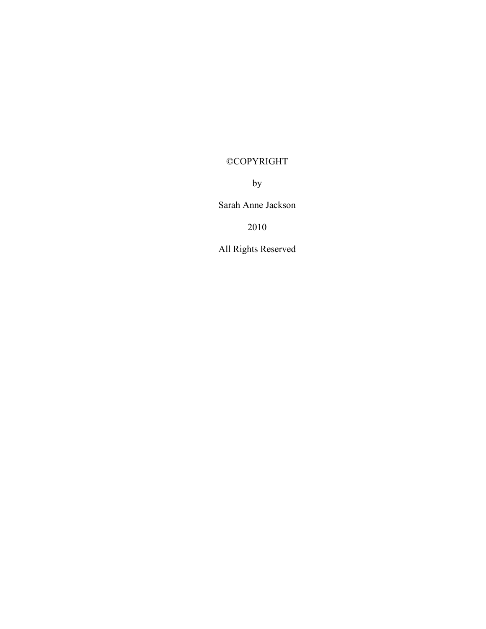# ©COPYRIGHT

by

Sarah Anne Jackson

2010

All Rights Reserved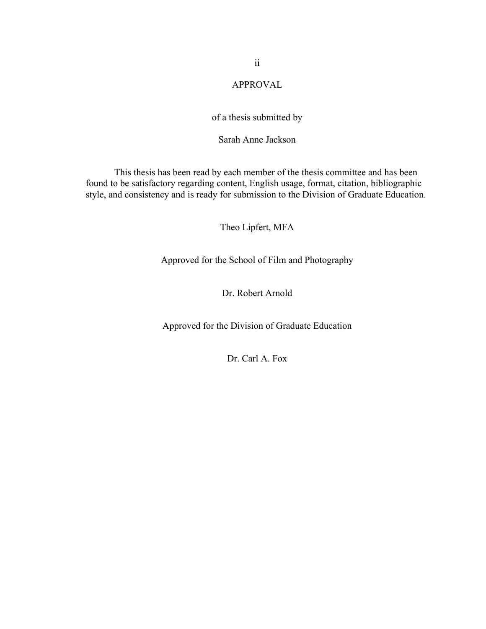## APPROVAL

### of a thesis submitted by

## Sarah Anne Jackson

This thesis has been read by each member of the thesis committee and has been found to be satisfactory regarding content, English usage, format, citation, bibliographic style, and consistency and is ready for submission to the Division of Graduate Education.

Theo Lipfert, MFA

Approved for the School of Film and Photography

Dr. Robert Arnold

Approved for the Division of Graduate Education

Dr. Carl A. Fox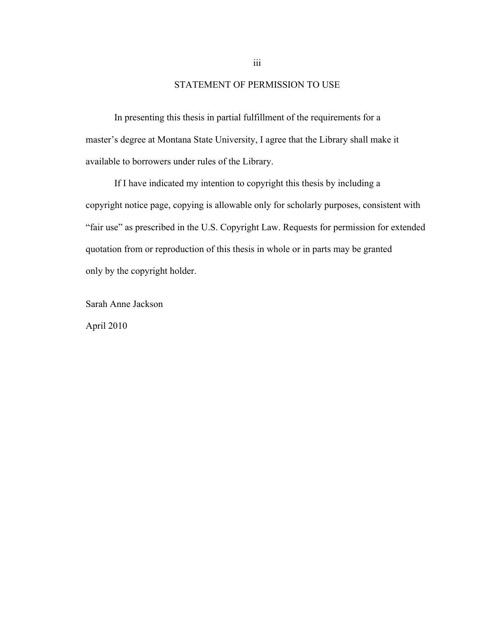### STATEMENT OF PERMISSION TO USE

In presenting this thesis in partial fulfillment of the requirements for a master's degree at Montana State University, I agree that the Library shall make it available to borrowers under rules of the Library.

If I have indicated my intention to copyright this thesis by including a copyright notice page, copying is allowable only for scholarly purposes, consistent with "fair use" as prescribed in the U.S. Copyright Law. Requests for permission for extended quotation from or reproduction of this thesis in whole or in parts may be granted only by the copyright holder.

Sarah Anne Jackson April 2010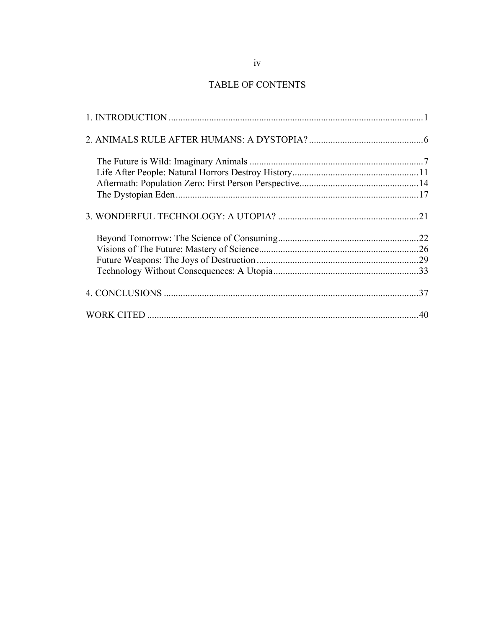## TABLE OF CONTENTS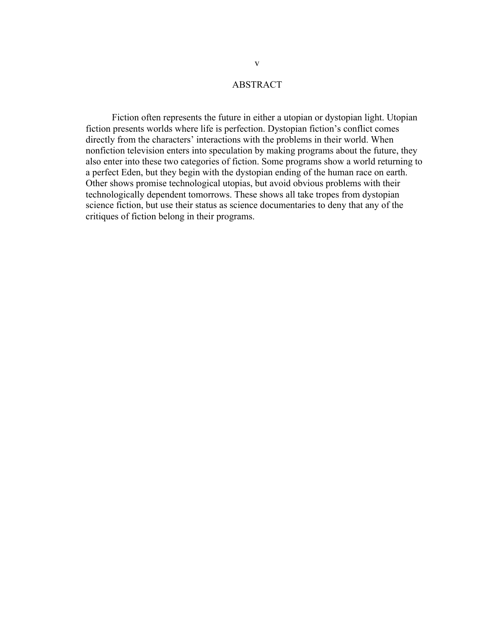## ABSTRACT

 Fiction often represents the future in either a utopian or dystopian light. Utopian fiction presents worlds where life is perfection. Dystopian fiction's conflict comes directly from the characters' interactions with the problems in their world. When nonfiction television enters into speculation by making programs about the future, they also enter into these two categories of fiction. Some programs show a world returning to a perfect Eden, but they begin with the dystopian ending of the human race on earth. Other shows promise technological utopias, but avoid obvious problems with their technologically dependent tomorrows. These shows all take tropes from dystopian science fiction, but use their status as science documentaries to deny that any of the critiques of fiction belong in their programs.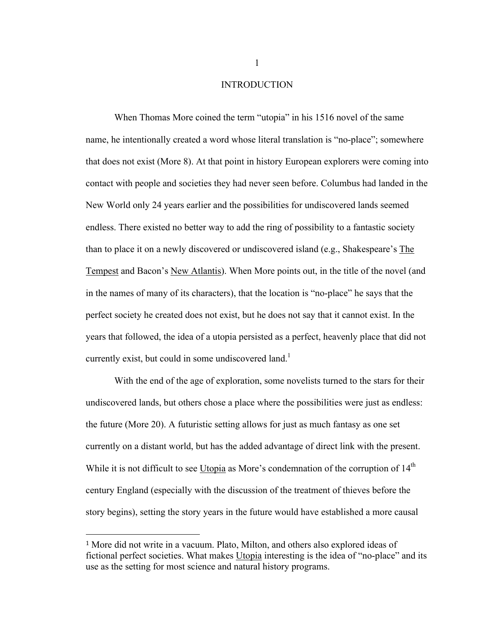#### INTRODUCTION

When Thomas More coined the term "utopia" in his 1516 novel of the same name, he intentionally created a word whose literal translation is "no-place"; somewhere that does not exist (More 8). At that point in history European explorers were coming into contact with people and societies they had never seen before. Columbus had landed in the New World only 24 years earlier and the possibilities for undiscovered lands seemed endless. There existed no better way to add the ring of possibility to a fantastic society than to place it on a newly discovered or undiscovered island (e.g., Shakespeare's The Tempest and Bacon's New Atlantis). When More points out, in the title of the novel (and in the names of many of its characters), that the location is "no-place" he says that the perfect society he created does not exist, but he does not say that it cannot exist. In the years that followed, the idea of a utopia persisted as a perfect, heavenly place that did not currently exist, but could in some undiscovered land.<sup>1</sup>

With the end of the age of exploration, some novelists turned to the stars for their undiscovered lands, but others chose a place where the possibilities were just as endless: the future (More 20). A futuristic setting allows for just as much fantasy as one set currently on a distant world, but has the added advantage of direct link with the present. While it is not difficult to see Utopia as More's condemnation of the corruption of  $14<sup>th</sup>$ century England (especially with the discussion of the treatment of thieves before the story begins), setting the story years in the future would have established a more causal

 $\overline{a}$ 

<sup>1</sup> More did not write in a vacuum. Plato, Milton, and others also explored ideas of fictional perfect societies. What makes Utopia interesting is the idea of "no-place" and its use as the setting for most science and natural history programs.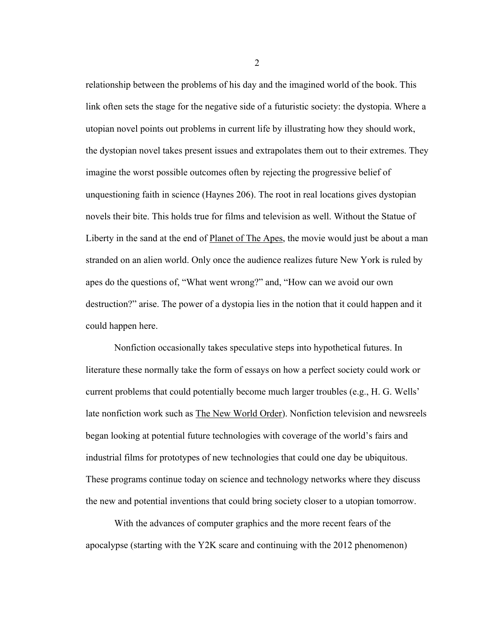relationship between the problems of his day and the imagined world of the book. This link often sets the stage for the negative side of a futuristic society: the dystopia. Where a utopian novel points out problems in current life by illustrating how they should work, the dystopian novel takes present issues and extrapolates them out to their extremes. They imagine the worst possible outcomes often by rejecting the progressive belief of unquestioning faith in science (Haynes 206). The root in real locations gives dystopian novels their bite. This holds true for films and television as well. Without the Statue of Liberty in the sand at the end of Planet of The Apes, the movie would just be about a man stranded on an alien world. Only once the audience realizes future New York is ruled by apes do the questions of, "What went wrong?" and, "How can we avoid our own destruction?" arise. The power of a dystopia lies in the notion that it could happen and it could happen here.

Nonfiction occasionally takes speculative steps into hypothetical futures. In literature these normally take the form of essays on how a perfect society could work or current problems that could potentially become much larger troubles (e.g., H. G. Wells' late nonfiction work such as **The New World Order**). Nonfiction television and newsreels began looking at potential future technologies with coverage of the world's fairs and industrial films for prototypes of new technologies that could one day be ubiquitous. These programs continue today on science and technology networks where they discuss the new and potential inventions that could bring society closer to a utopian tomorrow.

With the advances of computer graphics and the more recent fears of the apocalypse (starting with the Y2K scare and continuing with the 2012 phenomenon)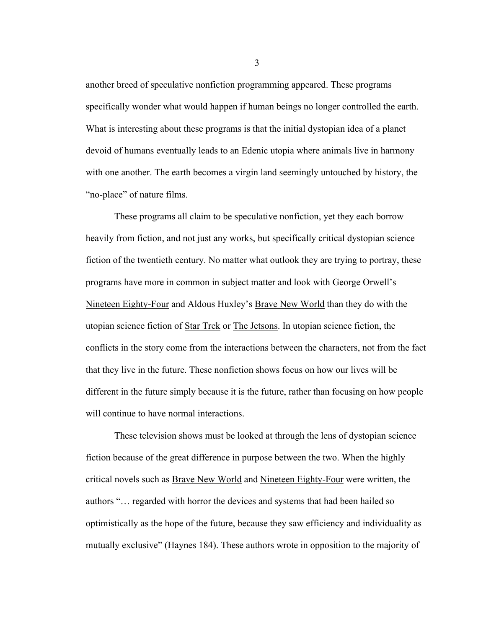another breed of speculative nonfiction programming appeared. These programs specifically wonder what would happen if human beings no longer controlled the earth. What is interesting about these programs is that the initial dystopian idea of a planet devoid of humans eventually leads to an Edenic utopia where animals live in harmony with one another. The earth becomes a virgin land seemingly untouched by history, the "no-place" of nature films.

These programs all claim to be speculative nonfiction, yet they each borrow heavily from fiction, and not just any works, but specifically critical dystopian science fiction of the twentieth century. No matter what outlook they are trying to portray, these programs have more in common in subject matter and look with George Orwell's Nineteen Eighty-Four and Aldous Huxley's **Brave New World** than they do with the utopian science fiction of Star Trek or The Jetsons. In utopian science fiction, the conflicts in the story come from the interactions between the characters, not from the fact that they live in the future. These nonfiction shows focus on how our lives will be different in the future simply because it is the future, rather than focusing on how people will continue to have normal interactions.

These television shows must be looked at through the lens of dystopian science fiction because of the great difference in purpose between the two. When the highly critical novels such as Brave New World and Nineteen Eighty-Four were written, the authors "… regarded with horror the devices and systems that had been hailed so optimistically as the hope of the future, because they saw efficiency and individuality as mutually exclusive" (Haynes 184). These authors wrote in opposition to the majority of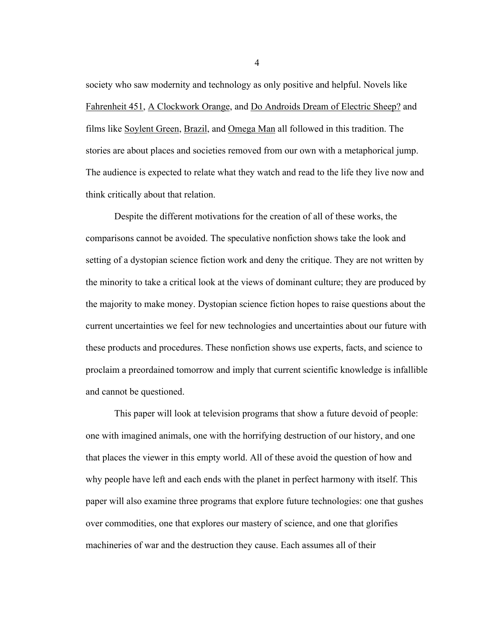society who saw modernity and technology as only positive and helpful. Novels like Fahrenheit 451, A Clockwork Orange, and Do Androids Dream of Electric Sheep? and films like Soylent Green, Brazil, and Omega Man all followed in this tradition. The stories are about places and societies removed from our own with a metaphorical jump. The audience is expected to relate what they watch and read to the life they live now and think critically about that relation.

Despite the different motivations for the creation of all of these works, the comparisons cannot be avoided. The speculative nonfiction shows take the look and setting of a dystopian science fiction work and deny the critique. They are not written by the minority to take a critical look at the views of dominant culture; they are produced by the majority to make money. Dystopian science fiction hopes to raise questions about the current uncertainties we feel for new technologies and uncertainties about our future with these products and procedures. These nonfiction shows use experts, facts, and science to proclaim a preordained tomorrow and imply that current scientific knowledge is infallible and cannot be questioned.

This paper will look at television programs that show a future devoid of people: one with imagined animals, one with the horrifying destruction of our history, and one that places the viewer in this empty world. All of these avoid the question of how and why people have left and each ends with the planet in perfect harmony with itself. This paper will also examine three programs that explore future technologies: one that gushes over commodities, one that explores our mastery of science, and one that glorifies machineries of war and the destruction they cause. Each assumes all of their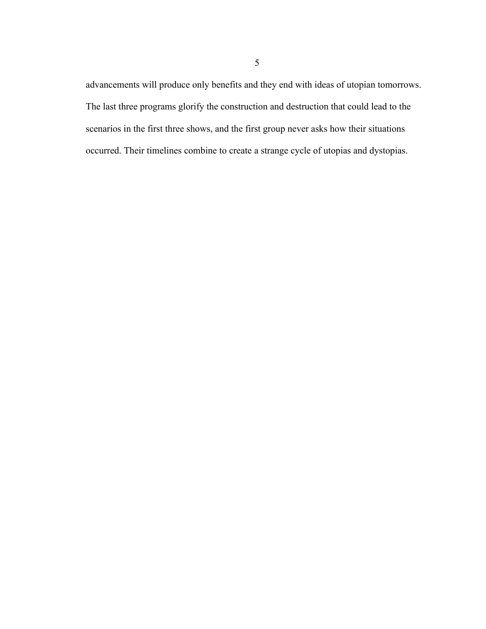advancements will produce only benefits and they end with ideas of utopian tomorrows. The last three programs glorify the construction and destruction that could lead to the scenarios in the first three shows, and the first group never asks how their situations occurred. Their timelines combine to create a strange cycle of utopias and dystopias.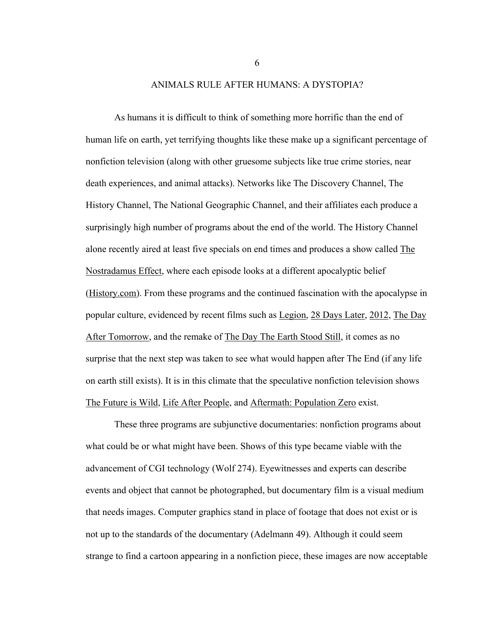ANIMALS RULE AFTER HUMANS: A DYSTOPIA?

As humans it is difficult to think of something more horrific than the end of human life on earth, yet terrifying thoughts like these make up a significant percentage of nonfiction television (along with other gruesome subjects like true crime stories, near death experiences, and animal attacks). Networks like The Discovery Channel, The History Channel, The National Geographic Channel, and their affiliates each produce a surprisingly high number of programs about the end of the world. The History Channel alone recently aired at least five specials on end times and produces a show called The Nostradamus Effect, where each episode looks at a different apocalyptic belief (History.com). From these programs and the continued fascination with the apocalypse in popular culture, evidenced by recent films such as Legion, 28 Days Later, 2012, The Day After Tomorrow, and the remake of The Day The Earth Stood Still, it comes as no surprise that the next step was taken to see what would happen after The End (if any life on earth still exists). It is in this climate that the speculative nonfiction television shows The Future is Wild, Life After People, and Aftermath: Population Zero exist.

These three programs are subjunctive documentaries: nonfiction programs about what could be or what might have been. Shows of this type became viable with the advancement of CGI technology (Wolf 274). Eyewitnesses and experts can describe events and object that cannot be photographed, but documentary film is a visual medium that needs images. Computer graphics stand in place of footage that does not exist or is not up to the standards of the documentary (Adelmann 49). Although it could seem strange to find a cartoon appearing in a nonfiction piece, these images are now acceptable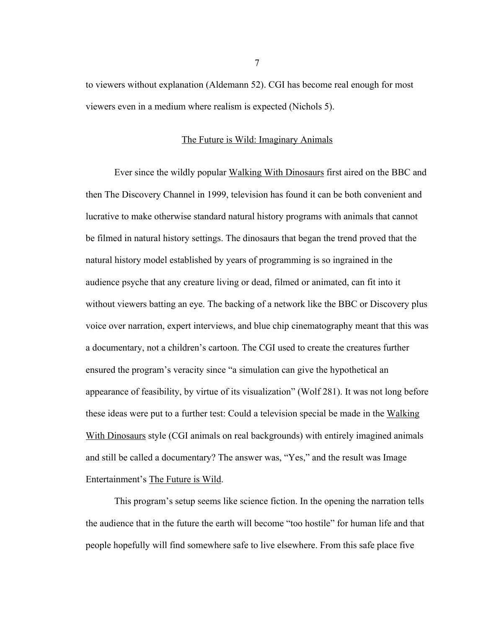to viewers without explanation (Aldemann 52). CGI has become real enough for most viewers even in a medium where realism is expected (Nichols 5).

#### The Future is Wild: Imaginary Animals

Ever since the wildly popular Walking With Dinosaurs first aired on the BBC and then The Discovery Channel in 1999, television has found it can be both convenient and lucrative to make otherwise standard natural history programs with animals that cannot be filmed in natural history settings. The dinosaurs that began the trend proved that the natural history model established by years of programming is so ingrained in the audience psyche that any creature living or dead, filmed or animated, can fit into it without viewers batting an eye. The backing of a network like the BBC or Discovery plus voice over narration, expert interviews, and blue chip cinematography meant that this was a documentary, not a children's cartoon. The CGI used to create the creatures further ensured the program's veracity since "a simulation can give the hypothetical an appearance of feasibility, by virtue of its visualization" (Wolf 281). It was not long before these ideas were put to a further test: Could a television special be made in the Walking With Dinosaurs style (CGI animals on real backgrounds) with entirely imagined animals and still be called a documentary? The answer was, "Yes," and the result was Image Entertainment's The Future is Wild.

This program's setup seems like science fiction. In the opening the narration tells the audience that in the future the earth will become "too hostile" for human life and that people hopefully will find somewhere safe to live elsewhere. From this safe place five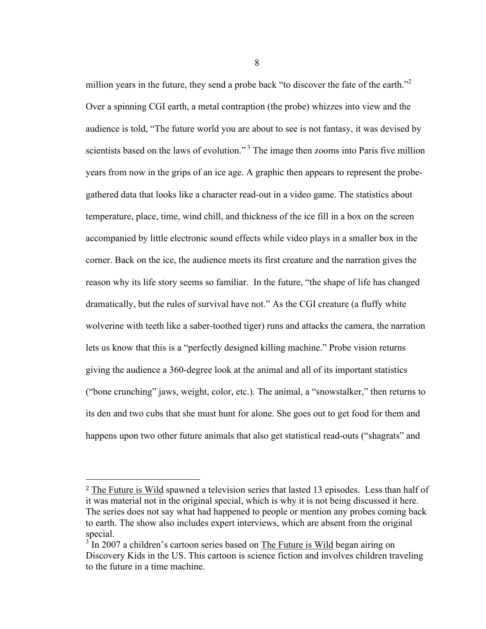million years in the future, they send a probe back "to discover the fate of the earth."<sup>2</sup> Over a spinning CGI earth, a metal contraption (the probe) whizzes into view and the audience is told, "The future world you are about to see is not fantasy, it was devised by scientists based on the laws of evolution."<sup>3</sup> The image then zooms into Paris five million years from now in the grips of an ice age. A graphic then appears to represent the probegathered data that looks like a character read-out in a video game. The statistics about temperature, place, time, wind chill, and thickness of the ice fill in a box on the screen accompanied by little electronic sound effects while video plays in a smaller box in the corner. Back on the ice, the audience meets its first creature and the narration gives the reason why its life story seems so familiar. In the future, "the shape of life has changed dramatically, but the rules of survival have not." As the CGI creature (a fluffy white wolverine with teeth like a saber-toothed tiger) runs and attacks the camera, the narration lets us know that this is a "perfectly designed killing machine." Probe vision returns giving the audience a 360-degree look at the animal and all of its important statistics ("bone crunching" jaws, weight, color, etc.). The animal, a "snowstalker," then returns to its den and two cubs that she must hunt for alone. She goes out to get food for them and happens upon two other future animals that also get statistical read-outs ("shagrats" and

 $\overline{a}$ 

<sup>2</sup> The Future is Wild spawned a television series that lasted 13 episodes. Less than half of it was material not in the original special, which is why it is not being discussed it here. The series does not say what had happened to people or mention any probes coming back to earth. The show also includes expert interviews, which are absent from the original special.

 $3^{3}$  In 2007 a children's cartoon series based on The Future is Wild began airing on Discovery Kids in the US. This cartoon is science fiction and involves children traveling to the future in a time machine.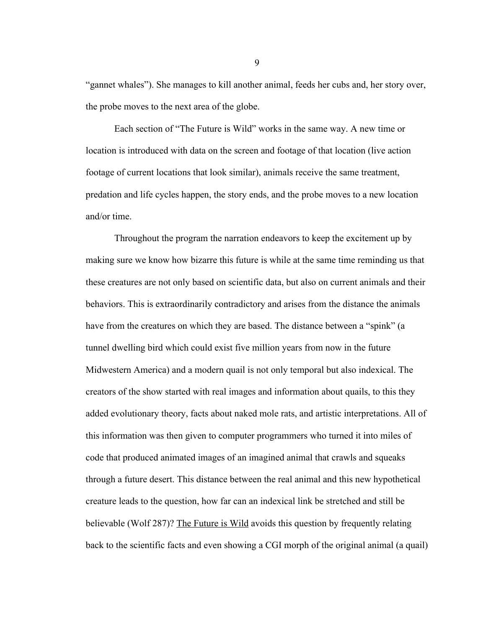"gannet whales"). She manages to kill another animal, feeds her cubs and, her story over, the probe moves to the next area of the globe.

Each section of "The Future is Wild" works in the same way. A new time or location is introduced with data on the screen and footage of that location (live action footage of current locations that look similar), animals receive the same treatment, predation and life cycles happen, the story ends, and the probe moves to a new location and/or time.

Throughout the program the narration endeavors to keep the excitement up by making sure we know how bizarre this future is while at the same time reminding us that these creatures are not only based on scientific data, but also on current animals and their behaviors. This is extraordinarily contradictory and arises from the distance the animals have from the creatures on which they are based. The distance between a "spink" (a tunnel dwelling bird which could exist five million years from now in the future Midwestern America) and a modern quail is not only temporal but also indexical. The creators of the show started with real images and information about quails, to this they added evolutionary theory, facts about naked mole rats, and artistic interpretations. All of this information was then given to computer programmers who turned it into miles of code that produced animated images of an imagined animal that crawls and squeaks through a future desert. This distance between the real animal and this new hypothetical creature leads to the question, how far can an indexical link be stretched and still be believable (Wolf 287)? The Future is Wild avoids this question by frequently relating back to the scientific facts and even showing a CGI morph of the original animal (a quail)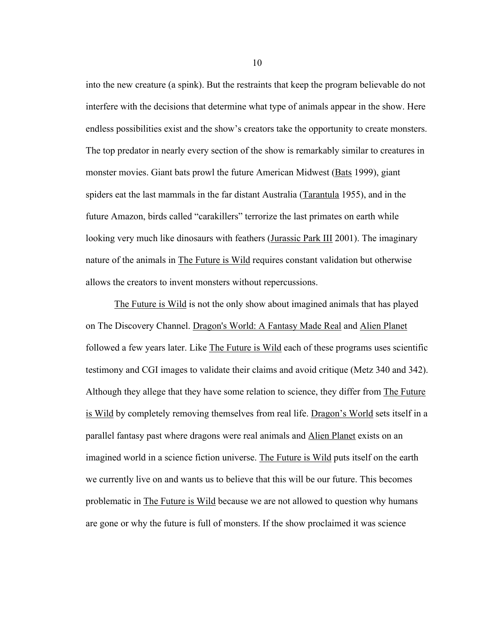into the new creature (a spink). But the restraints that keep the program believable do not interfere with the decisions that determine what type of animals appear in the show. Here endless possibilities exist and the show's creators take the opportunity to create monsters. The top predator in nearly every section of the show is remarkably similar to creatures in monster movies. Giant bats prowl the future American Midwest (Bats 1999), giant spiders eat the last mammals in the far distant Australia (Tarantula 1955), and in the future Amazon, birds called "carakillers" terrorize the last primates on earth while looking very much like dinosaurs with feathers (Jurassic Park III 2001). The imaginary nature of the animals in The Future is Wild requires constant validation but otherwise allows the creators to invent monsters without repercussions.

The Future is Wild is not the only show about imagined animals that has played on The Discovery Channel. Dragon's World: A Fantasy Made Real and Alien Planet followed a few years later. Like The Future is Wild each of these programs uses scientific testimony and CGI images to validate their claims and avoid critique (Metz 340 and 342). Although they allege that they have some relation to science, they differ from The Future is Wild by completely removing themselves from real life. Dragon's World sets itself in a parallel fantasy past where dragons were real animals and Alien Planet exists on an imagined world in a science fiction universe. The Future is Wild puts itself on the earth we currently live on and wants us to believe that this will be our future. This becomes problematic in The Future is Wild because we are not allowed to question why humans are gone or why the future is full of monsters. If the show proclaimed it was science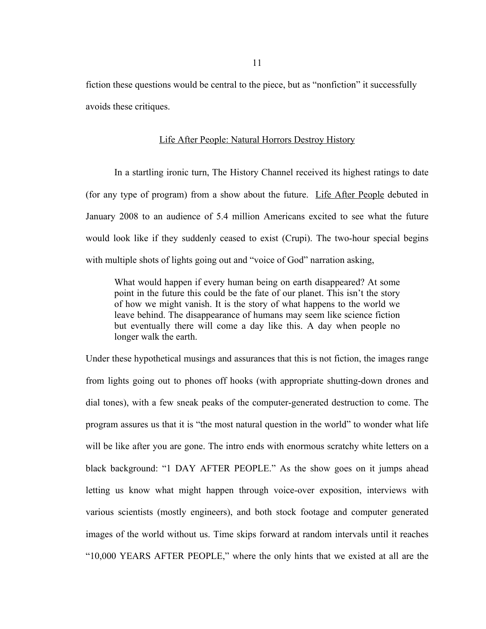fiction these questions would be central to the piece, but as "nonfiction" it successfully avoids these critiques.

#### Life After People: Natural Horrors Destroy History

In a startling ironic turn, The History Channel received its highest ratings to date (for any type of program) from a show about the future. Life After People debuted in January 2008 to an audience of 5.4 million Americans excited to see what the future would look like if they suddenly ceased to exist (Crupi). The two-hour special begins with multiple shots of lights going out and "voice of God" narration asking,

What would happen if every human being on earth disappeared? At some point in the future this could be the fate of our planet. This isn't the story of how we might vanish. It is the story of what happens to the world we leave behind. The disappearance of humans may seem like science fiction but eventually there will come a day like this. A day when people no longer walk the earth.

Under these hypothetical musings and assurances that this is not fiction, the images range from lights going out to phones off hooks (with appropriate shutting-down drones and dial tones), with a few sneak peaks of the computer-generated destruction to come. The program assures us that it is "the most natural question in the world" to wonder what life will be like after you are gone. The intro ends with enormous scratchy white letters on a black background: "1 DAY AFTER PEOPLE." As the show goes on it jumps ahead letting us know what might happen through voice-over exposition, interviews with various scientists (mostly engineers), and both stock footage and computer generated images of the world without us. Time skips forward at random intervals until it reaches "10,000 YEARS AFTER PEOPLE," where the only hints that we existed at all are the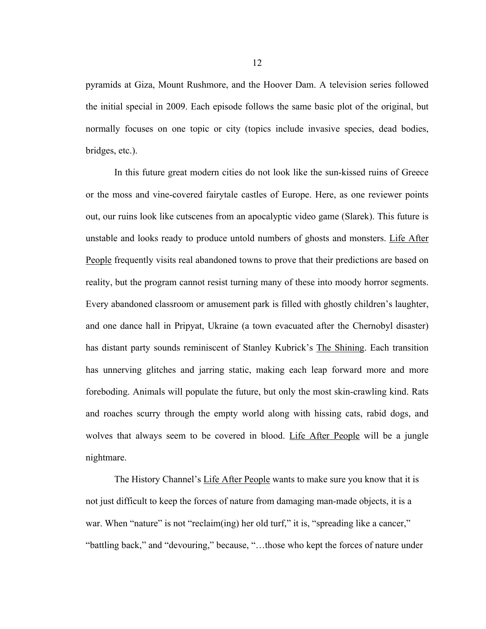pyramids at Giza, Mount Rushmore, and the Hoover Dam. A television series followed the initial special in 2009. Each episode follows the same basic plot of the original, but normally focuses on one topic or city (topics include invasive species, dead bodies, bridges, etc.).

In this future great modern cities do not look like the sun-kissed ruins of Greece or the moss and vine-covered fairytale castles of Europe. Here, as one reviewer points out, our ruins look like cutscenes from an apocalyptic video game (Slarek). This future is unstable and looks ready to produce untold numbers of ghosts and monsters. Life After People frequently visits real abandoned towns to prove that their predictions are based on reality, but the program cannot resist turning many of these into moody horror segments. Every abandoned classroom or amusement park is filled with ghostly children's laughter, and one dance hall in Pripyat, Ukraine (a town evacuated after the Chernobyl disaster) has distant party sounds reminiscent of Stanley Kubrick's The Shining. Each transition has unnerving glitches and jarring static, making each leap forward more and more foreboding. Animals will populate the future, but only the most skin-crawling kind. Rats and roaches scurry through the empty world along with hissing cats, rabid dogs, and wolves that always seem to be covered in blood. Life After People will be a jungle nightmare.

The History Channel's Life After People wants to make sure you know that it is not just difficult to keep the forces of nature from damaging man-made objects, it is a war. When "nature" is not "reclaim(ing) her old turf," it is, "spreading like a cancer," "battling back," and "devouring," because, "…those who kept the forces of nature under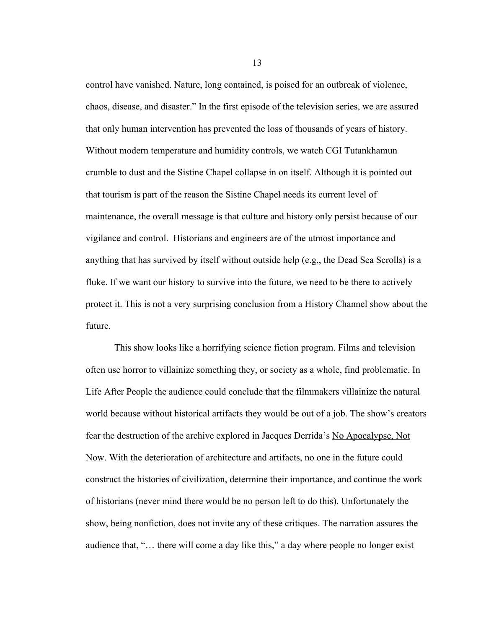control have vanished. Nature, long contained, is poised for an outbreak of violence, chaos, disease, and disaster." In the first episode of the television series, we are assured that only human intervention has prevented the loss of thousands of years of history. Without modern temperature and humidity controls, we watch CGI Tutankhamun crumble to dust and the Sistine Chapel collapse in on itself. Although it is pointed out that tourism is part of the reason the Sistine Chapel needs its current level of maintenance, the overall message is that culture and history only persist because of our vigilance and control. Historians and engineers are of the utmost importance and anything that has survived by itself without outside help (e.g., the Dead Sea Scrolls) is a fluke. If we want our history to survive into the future, we need to be there to actively protect it. This is not a very surprising conclusion from a History Channel show about the future.

This show looks like a horrifying science fiction program. Films and television often use horror to villainize something they, or society as a whole, find problematic. In Life After People the audience could conclude that the filmmakers villainize the natural world because without historical artifacts they would be out of a job. The show's creators fear the destruction of the archive explored in Jacques Derrida's No Apocalypse, Not Now. With the deterioration of architecture and artifacts, no one in the future could construct the histories of civilization, determine their importance, and continue the work of historians (never mind there would be no person left to do this). Unfortunately the show, being nonfiction, does not invite any of these critiques. The narration assures the audience that, "… there will come a day like this," a day where people no longer exist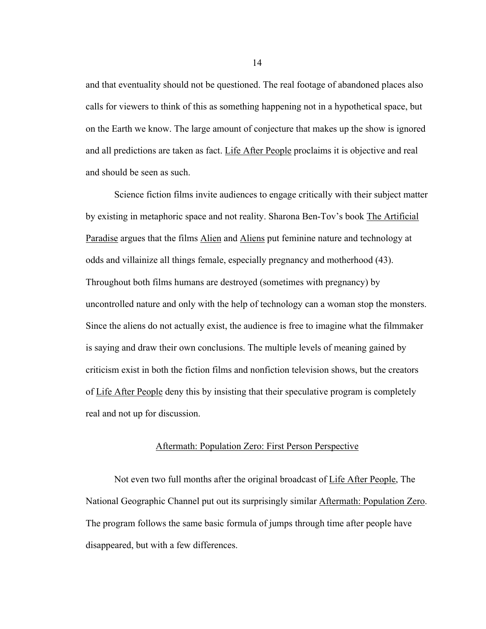and that eventuality should not be questioned. The real footage of abandoned places also calls for viewers to think of this as something happening not in a hypothetical space, but on the Earth we know. The large amount of conjecture that makes up the show is ignored and all predictions are taken as fact. Life After People proclaims it is objective and real and should be seen as such.

Science fiction films invite audiences to engage critically with their subject matter by existing in metaphoric space and not reality. Sharona Ben-Tov's book The Artificial Paradise argues that the films Alien and Aliens put feminine nature and technology at odds and villainize all things female, especially pregnancy and motherhood (43). Throughout both films humans are destroyed (sometimes with pregnancy) by uncontrolled nature and only with the help of technology can a woman stop the monsters. Since the aliens do not actually exist, the audience is free to imagine what the filmmaker is saying and draw their own conclusions. The multiple levels of meaning gained by criticism exist in both the fiction films and nonfiction television shows, but the creators of Life After People deny this by insisting that their speculative program is completely real and not up for discussion.

#### Aftermath: Population Zero: First Person Perspective

Not even two full months after the original broadcast of Life After People, The National Geographic Channel put out its surprisingly similar Aftermath: Population Zero. The program follows the same basic formula of jumps through time after people have disappeared, but with a few differences.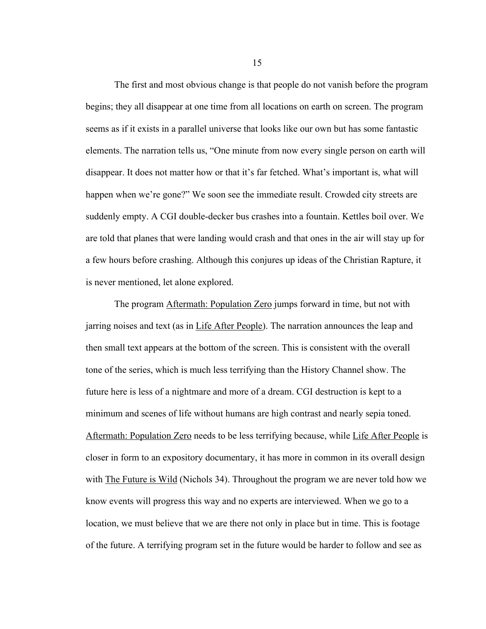The first and most obvious change is that people do not vanish before the program begins; they all disappear at one time from all locations on earth on screen. The program seems as if it exists in a parallel universe that looks like our own but has some fantastic elements. The narration tells us, "One minute from now every single person on earth will disappear. It does not matter how or that it's far fetched. What's important is, what will happen when we're gone?" We soon see the immediate result. Crowded city streets are suddenly empty. A CGI double-decker bus crashes into a fountain. Kettles boil over. We are told that planes that were landing would crash and that ones in the air will stay up for a few hours before crashing. Although this conjures up ideas of the Christian Rapture, it is never mentioned, let alone explored.

The program **Aftermath: Population Zero** jumps forward in time, but not with jarring noises and text (as in Life After People). The narration announces the leap and then small text appears at the bottom of the screen. This is consistent with the overall tone of the series, which is much less terrifying than the History Channel show. The future here is less of a nightmare and more of a dream. CGI destruction is kept to a minimum and scenes of life without humans are high contrast and nearly sepia toned. Aftermath: Population Zero needs to be less terrifying because, while Life After People is closer in form to an expository documentary, it has more in common in its overall design with The Future is Wild (Nichols 34). Throughout the program we are never told how we know events will progress this way and no experts are interviewed. When we go to a location, we must believe that we are there not only in place but in time. This is footage of the future. A terrifying program set in the future would be harder to follow and see as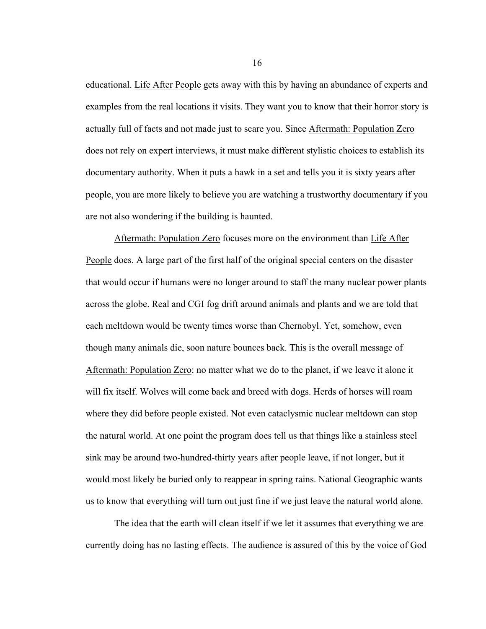educational. Life After People gets away with this by having an abundance of experts and examples from the real locations it visits. They want you to know that their horror story is actually full of facts and not made just to scare you. Since Aftermath: Population Zero does not rely on expert interviews, it must make different stylistic choices to establish its documentary authority. When it puts a hawk in a set and tells you it is sixty years after people, you are more likely to believe you are watching a trustworthy documentary if you are not also wondering if the building is haunted.

Aftermath: Population Zero focuses more on the environment than Life After People does. A large part of the first half of the original special centers on the disaster that would occur if humans were no longer around to staff the many nuclear power plants across the globe. Real and CGI fog drift around animals and plants and we are told that each meltdown would be twenty times worse than Chernobyl. Yet, somehow, even though many animals die, soon nature bounces back. This is the overall message of Aftermath: Population Zero: no matter what we do to the planet, if we leave it alone it will fix itself. Wolves will come back and breed with dogs. Herds of horses will roam where they did before people existed. Not even cataclysmic nuclear meltdown can stop the natural world. At one point the program does tell us that things like a stainless steel sink may be around two-hundred-thirty years after people leave, if not longer, but it would most likely be buried only to reappear in spring rains. National Geographic wants us to know that everything will turn out just fine if we just leave the natural world alone.

The idea that the earth will clean itself if we let it assumes that everything we are currently doing has no lasting effects. The audience is assured of this by the voice of God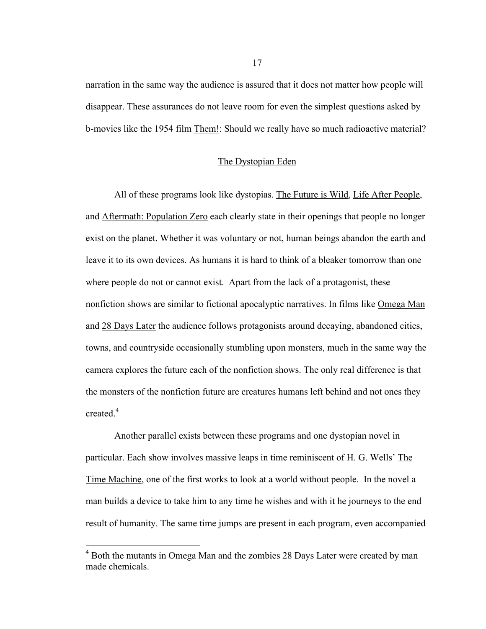narration in the same way the audience is assured that it does not matter how people will disappear. These assurances do not leave room for even the simplest questions asked by b-movies like the 1954 film Them!: Should we really have so much radioactive material?

#### The Dystopian Eden

All of these programs look like dystopias. The Future is Wild, Life After People, and Aftermath: Population Zero each clearly state in their openings that people no longer exist on the planet. Whether it was voluntary or not, human beings abandon the earth and leave it to its own devices. As humans it is hard to think of a bleaker tomorrow than one where people do not or cannot exist. Apart from the lack of a protagonist, these nonfiction shows are similar to fictional apocalyptic narratives. In films like Omega Man and 28 Days Later the audience follows protagonists around decaying, abandoned cities, towns, and countryside occasionally stumbling upon monsters, much in the same way the camera explores the future each of the nonfiction shows. The only real difference is that the monsters of the nonfiction future are creatures humans left behind and not ones they created.<sup>4</sup>

Another parallel exists between these programs and one dystopian novel in particular. Each show involves massive leaps in time reminiscent of H. G. Wells' The Time Machine, one of the first works to look at a world without people. In the novel a man builds a device to take him to any time he wishes and with it he journeys to the end result of humanity. The same time jumps are present in each program, even accompanied

<sup>&</sup>lt;sup>4</sup> Both the mutants in <u>Omega Man</u> and the zombies 28 Days Later were created by man made chemicals.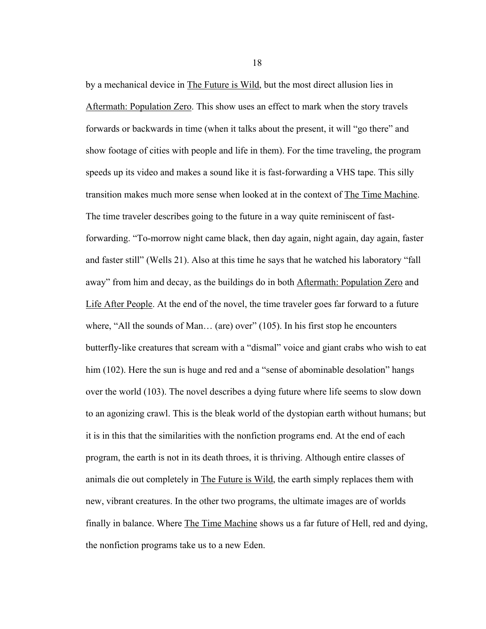by a mechanical device in The Future is Wild, but the most direct allusion lies in Aftermath: Population Zero. This show uses an effect to mark when the story travels forwards or backwards in time (when it talks about the present, it will "go there" and show footage of cities with people and life in them). For the time traveling, the program speeds up its video and makes a sound like it is fast-forwarding a VHS tape. This silly transition makes much more sense when looked at in the context of The Time Machine. The time traveler describes going to the future in a way quite reminiscent of fastforwarding. "To-morrow night came black, then day again, night again, day again, faster and faster still" (Wells 21). Also at this time he says that he watched his laboratory "fall away" from him and decay, as the buildings do in both Aftermath: Population Zero and Life After People. At the end of the novel, the time traveler goes far forward to a future where, "All the sounds of Man... (are) over" (105). In his first stop he encounters butterfly-like creatures that scream with a "dismal" voice and giant crabs who wish to eat him (102). Here the sun is huge and red and a "sense of abominable desolation" hangs over the world (103). The novel describes a dying future where life seems to slow down to an agonizing crawl. This is the bleak world of the dystopian earth without humans; but it is in this that the similarities with the nonfiction programs end. At the end of each program, the earth is not in its death throes, it is thriving. Although entire classes of animals die out completely in The Future is Wild, the earth simply replaces them with new, vibrant creatures. In the other two programs, the ultimate images are of worlds finally in balance. Where The Time Machine shows us a far future of Hell, red and dying, the nonfiction programs take us to a new Eden.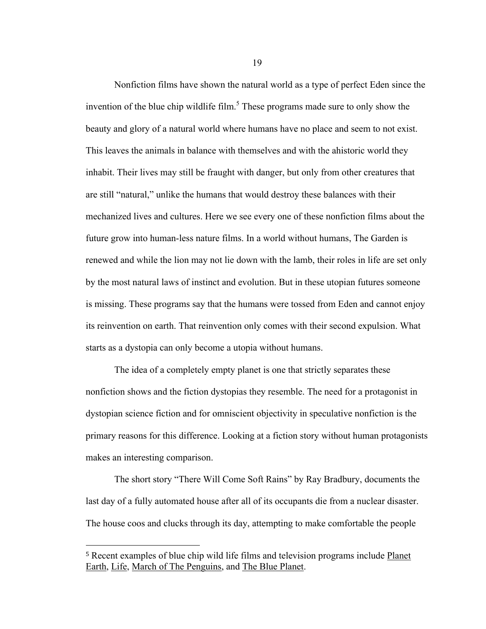Nonfiction films have shown the natural world as a type of perfect Eden since the invention of the blue chip wildlife film.<sup>5</sup> These programs made sure to only show the beauty and glory of a natural world where humans have no place and seem to not exist. This leaves the animals in balance with themselves and with the ahistoric world they inhabit. Their lives may still be fraught with danger, but only from other creatures that are still "natural," unlike the humans that would destroy these balances with their mechanized lives and cultures. Here we see every one of these nonfiction films about the future grow into human-less nature films. In a world without humans, The Garden is renewed and while the lion may not lie down with the lamb, their roles in life are set only by the most natural laws of instinct and evolution. But in these utopian futures someone is missing. These programs say that the humans were tossed from Eden and cannot enjoy its reinvention on earth. That reinvention only comes with their second expulsion. What starts as a dystopia can only become a utopia without humans.

The idea of a completely empty planet is one that strictly separates these nonfiction shows and the fiction dystopias they resemble. The need for a protagonist in dystopian science fiction and for omniscient objectivity in speculative nonfiction is the primary reasons for this difference. Looking at a fiction story without human protagonists makes an interesting comparison.

The short story "There Will Come Soft Rains" by Ray Bradbury, documents the last day of a fully automated house after all of its occupants die from a nuclear disaster. The house coos and clucks through its day, attempting to make comfortable the people

 $\overline{a}$ 

<sup>5</sup> Recent examples of blue chip wild life films and television programs include Planet Earth, Life, March of The Penguins, and The Blue Planet.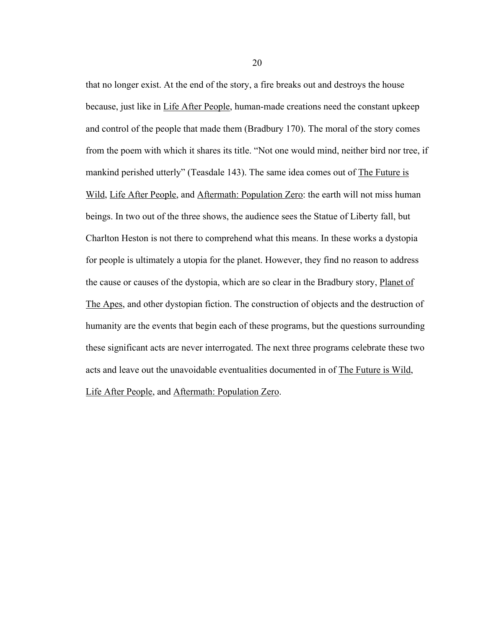that no longer exist. At the end of the story, a fire breaks out and destroys the house because, just like in Life After People, human-made creations need the constant upkeep and control of the people that made them (Bradbury 170). The moral of the story comes from the poem with which it shares its title. "Not one would mind, neither bird nor tree, if mankind perished utterly" (Teasdale 143). The same idea comes out of The Future is Wild, Life After People, and Aftermath: Population Zero: the earth will not miss human beings. In two out of the three shows, the audience sees the Statue of Liberty fall, but Charlton Heston is not there to comprehend what this means. In these works a dystopia for people is ultimately a utopia for the planet. However, they find no reason to address the cause or causes of the dystopia, which are so clear in the Bradbury story, Planet of The Apes, and other dystopian fiction. The construction of objects and the destruction of humanity are the events that begin each of these programs, but the questions surrounding these significant acts are never interrogated. The next three programs celebrate these two acts and leave out the unavoidable eventualities documented in of The Future is Wild,

Life After People, and Aftermath: Population Zero.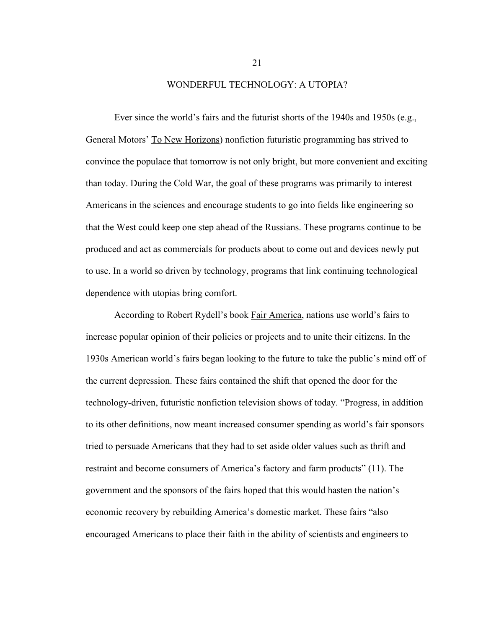#### WONDERFUL TECHNOLOGY: A UTOPIA?

Ever since the world's fairs and the futurist shorts of the 1940s and 1950s (e.g., General Motors' To New Horizons) nonfiction futuristic programming has strived to convince the populace that tomorrow is not only bright, but more convenient and exciting than today. During the Cold War, the goal of these programs was primarily to interest Americans in the sciences and encourage students to go into fields like engineering so that the West could keep one step ahead of the Russians. These programs continue to be produced and act as commercials for products about to come out and devices newly put to use. In a world so driven by technology, programs that link continuing technological dependence with utopias bring comfort.

According to Robert Rydell's book Fair America, nations use world's fairs to increase popular opinion of their policies or projects and to unite their citizens. In the 1930s American world's fairs began looking to the future to take the public's mind off of the current depression. These fairs contained the shift that opened the door for the technology-driven, futuristic nonfiction television shows of today. "Progress, in addition to its other definitions, now meant increased consumer spending as world's fair sponsors tried to persuade Americans that they had to set aside older values such as thrift and restraint and become consumers of America's factory and farm products" (11). The government and the sponsors of the fairs hoped that this would hasten the nation's economic recovery by rebuilding America's domestic market. These fairs "also encouraged Americans to place their faith in the ability of scientists and engineers to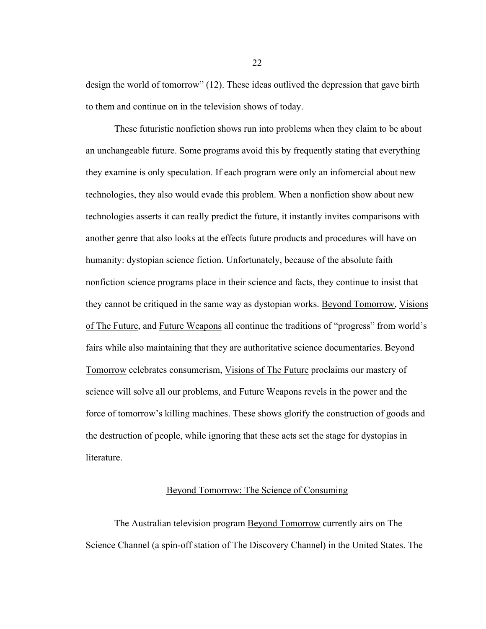design the world of tomorrow" (12). These ideas outlived the depression that gave birth to them and continue on in the television shows of today.

These futuristic nonfiction shows run into problems when they claim to be about an unchangeable future. Some programs avoid this by frequently stating that everything they examine is only speculation. If each program were only an infomercial about new technologies, they also would evade this problem. When a nonfiction show about new technologies asserts it can really predict the future, it instantly invites comparisons with another genre that also looks at the effects future products and procedures will have on humanity: dystopian science fiction. Unfortunately, because of the absolute faith nonfiction science programs place in their science and facts, they continue to insist that they cannot be critiqued in the same way as dystopian works. Beyond Tomorrow, Visions of The Future, and Future Weapons all continue the traditions of "progress" from world's fairs while also maintaining that they are authoritative science documentaries. Beyond Tomorrow celebrates consumerism, Visions of The Future proclaims our mastery of science will solve all our problems, and Future Weapons revels in the power and the force of tomorrow's killing machines. These shows glorify the construction of goods and the destruction of people, while ignoring that these acts set the stage for dystopias in literature.

### Beyond Tomorrow: The Science of Consuming

The Australian television program **Beyond Tomorrow** currently airs on The Science Channel (a spin-off station of The Discovery Channel) in the United States. The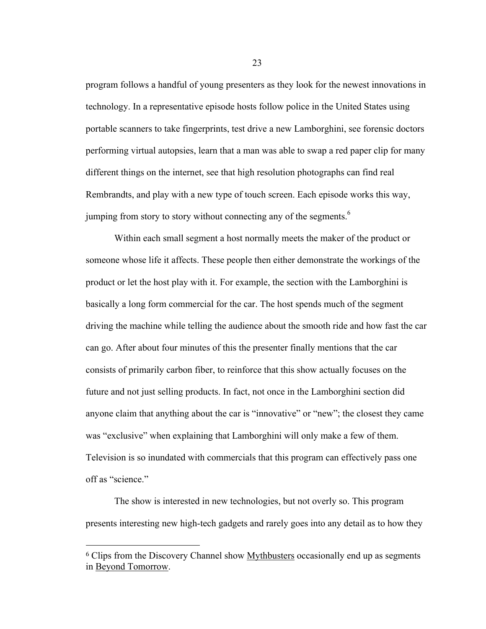program follows a handful of young presenters as they look for the newest innovations in technology. In a representative episode hosts follow police in the United States using portable scanners to take fingerprints, test drive a new Lamborghini, see forensic doctors performing virtual autopsies, learn that a man was able to swap a red paper clip for many different things on the internet, see that high resolution photographs can find real Rembrandts, and play with a new type of touch screen. Each episode works this way, jumping from story to story without connecting any of the segments.<sup>6</sup>

Within each small segment a host normally meets the maker of the product or someone whose life it affects. These people then either demonstrate the workings of the product or let the host play with it. For example, the section with the Lamborghini is basically a long form commercial for the car. The host spends much of the segment driving the machine while telling the audience about the smooth ride and how fast the car can go. After about four minutes of this the presenter finally mentions that the car consists of primarily carbon fiber, to reinforce that this show actually focuses on the future and not just selling products. In fact, not once in the Lamborghini section did anyone claim that anything about the car is "innovative" or "new"; the closest they came was "exclusive" when explaining that Lamborghini will only make a few of them. Television is so inundated with commercials that this program can effectively pass one off as "science."

The show is interested in new technologies, but not overly so. This program presents interesting new high-tech gadgets and rarely goes into any detail as to how they

 $\overline{a}$ 

<sup>6</sup> Clips from the Discovery Channel show Mythbusters occasionally end up as segments in Beyond Tomorrow.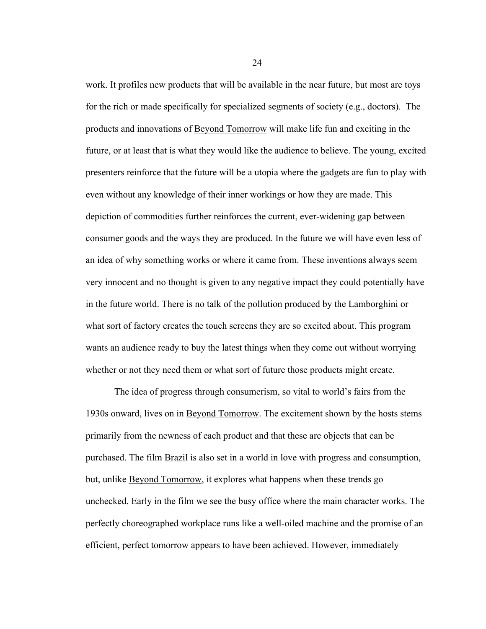work. It profiles new products that will be available in the near future, but most are toys for the rich or made specifically for specialized segments of society (e.g., doctors). The products and innovations of Beyond Tomorrow will make life fun and exciting in the future, or at least that is what they would like the audience to believe. The young, excited presenters reinforce that the future will be a utopia where the gadgets are fun to play with even without any knowledge of their inner workings or how they are made. This depiction of commodities further reinforces the current, ever-widening gap between consumer goods and the ways they are produced. In the future we will have even less of an idea of why something works or where it came from. These inventions always seem very innocent and no thought is given to any negative impact they could potentially have in the future world. There is no talk of the pollution produced by the Lamborghini or what sort of factory creates the touch screens they are so excited about. This program wants an audience ready to buy the latest things when they come out without worrying whether or not they need them or what sort of future those products might create.

The idea of progress through consumerism, so vital to world's fairs from the 1930s onward, lives on in Beyond Tomorrow. The excitement shown by the hosts stems primarily from the newness of each product and that these are objects that can be purchased. The film Brazil is also set in a world in love with progress and consumption, but, unlike Beyond Tomorrow, it explores what happens when these trends go unchecked. Early in the film we see the busy office where the main character works. The perfectly choreographed workplace runs like a well-oiled machine and the promise of an efficient, perfect tomorrow appears to have been achieved. However, immediately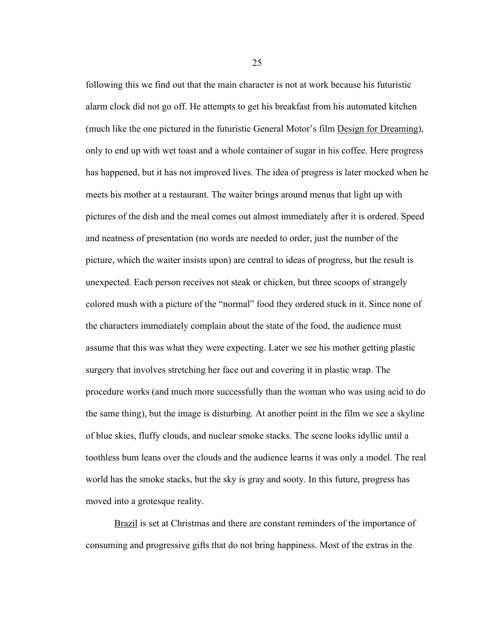following this we find out that the main character is not at work because his futuristic alarm clock did not go off. He attempts to get his breakfast from his automated kitchen (much like the one pictured in the futuristic General Motor's film Design for Dreaming), only to end up with wet toast and a whole container of sugar in his coffee. Here progress has happened, but it has not improved lives. The idea of progress is later mocked when he meets his mother at a restaurant. The waiter brings around menus that light up with pictures of the dish and the meal comes out almost immediately after it is ordered. Speed and neatness of presentation (no words are needed to order, just the number of the picture, which the waiter insists upon) are central to ideas of progress, but the result is unexpected. Each person receives not steak or chicken, but three scoops of strangely colored mush with a picture of the "normal" food they ordered stuck in it. Since none of the characters immediately complain about the state of the food, the audience must assume that this was what they were expecting. Later we see his mother getting plastic surgery that involves stretching her face out and covering it in plastic wrap. The procedure works (and much more successfully than the woman who was using acid to do the same thing), but the image is disturbing. At another point in the film we see a skyline of blue skies, fluffy clouds, and nuclear smoke stacks. The scene looks idyllic until a toothless bum leans over the clouds and the audience learns it was only a model. The real world has the smoke stacks, but the sky is gray and sooty. In this future, progress has moved into a grotesque reality.

Brazil is set at Christmas and there are constant reminders of the importance of consuming and progressive gifts that do not bring happiness. Most of the extras in the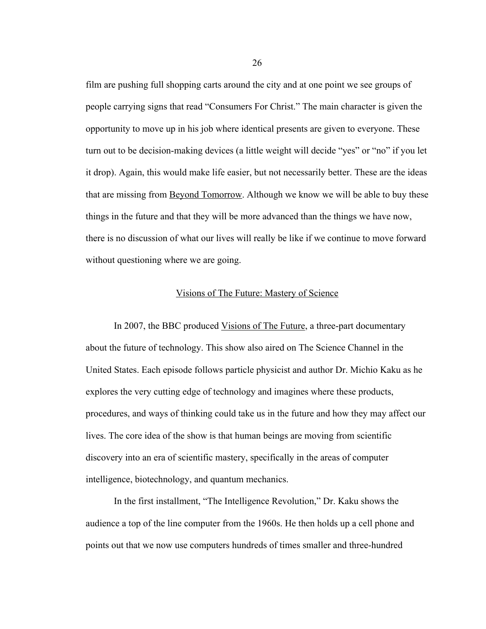film are pushing full shopping carts around the city and at one point we see groups of people carrying signs that read "Consumers For Christ." The main character is given the opportunity to move up in his job where identical presents are given to everyone. These turn out to be decision-making devices (a little weight will decide "yes" or "no" if you let it drop). Again, this would make life easier, but not necessarily better. These are the ideas that are missing from Beyond Tomorrow. Although we know we will be able to buy these things in the future and that they will be more advanced than the things we have now, there is no discussion of what our lives will really be like if we continue to move forward without questioning where we are going.

#### Visions of The Future: Mastery of Science

In 2007, the BBC produced Visions of The Future, a three-part documentary about the future of technology. This show also aired on The Science Channel in the United States. Each episode follows particle physicist and author Dr. Michio Kaku as he explores the very cutting edge of technology and imagines where these products, procedures, and ways of thinking could take us in the future and how they may affect our lives. The core idea of the show is that human beings are moving from scientific discovery into an era of scientific mastery, specifically in the areas of computer intelligence, biotechnology, and quantum mechanics.

In the first installment, "The Intelligence Revolution," Dr. Kaku shows the audience a top of the line computer from the 1960s. He then holds up a cell phone and points out that we now use computers hundreds of times smaller and three-hundred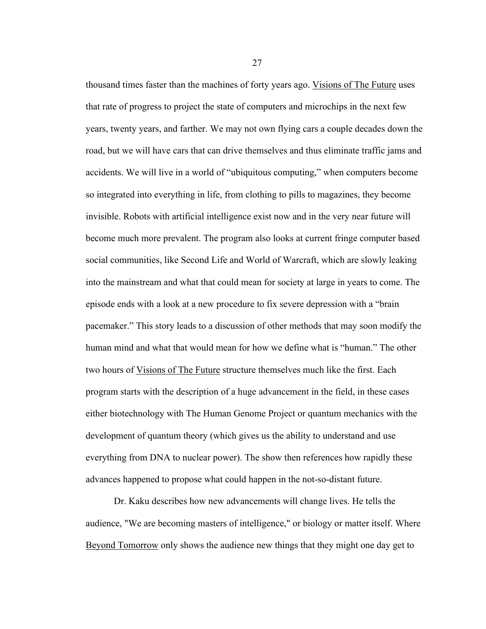thousand times faster than the machines of forty years ago. Visions of The Future uses that rate of progress to project the state of computers and microchips in the next few years, twenty years, and farther. We may not own flying cars a couple decades down the road, but we will have cars that can drive themselves and thus eliminate traffic jams and accidents. We will live in a world of "ubiquitous computing," when computers become so integrated into everything in life, from clothing to pills to magazines, they become invisible. Robots with artificial intelligence exist now and in the very near future will become much more prevalent. The program also looks at current fringe computer based social communities, like Second Life and World of Warcraft, which are slowly leaking into the mainstream and what that could mean for society at large in years to come. The episode ends with a look at a new procedure to fix severe depression with a "brain pacemaker." This story leads to a discussion of other methods that may soon modify the human mind and what that would mean for how we define what is "human." The other two hours of Visions of The Future structure themselves much like the first. Each program starts with the description of a huge advancement in the field, in these cases either biotechnology with The Human Genome Project or quantum mechanics with the development of quantum theory (which gives us the ability to understand and use everything from DNA to nuclear power). The show then references how rapidly these advances happened to propose what could happen in the not-so-distant future.

Dr. Kaku describes how new advancements will change lives. He tells the audience, "We are becoming masters of intelligence," or biology or matter itself. Where Beyond Tomorrow only shows the audience new things that they might one day get to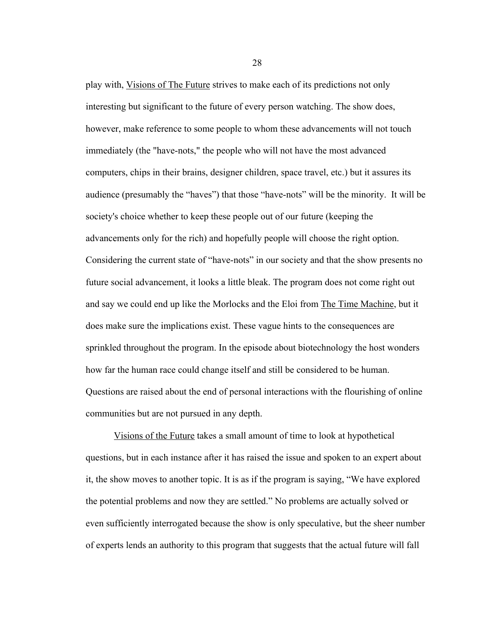play with, Visions of The Future strives to make each of its predictions not only interesting but significant to the future of every person watching. The show does, however, make reference to some people to whom these advancements will not touch immediately (the "have-nots," the people who will not have the most advanced computers, chips in their brains, designer children, space travel, etc.) but it assures its audience (presumably the "haves") that those "have-nots" will be the minority. It will be society's choice whether to keep these people out of our future (keeping the advancements only for the rich) and hopefully people will choose the right option. Considering the current state of "have-nots" in our society and that the show presents no future social advancement, it looks a little bleak. The program does not come right out and say we could end up like the Morlocks and the Eloi from The Time Machine, but it does make sure the implications exist. These vague hints to the consequences are sprinkled throughout the program. In the episode about biotechnology the host wonders how far the human race could change itself and still be considered to be human. Questions are raised about the end of personal interactions with the flourishing of online communities but are not pursued in any depth.

Visions of the Future takes a small amount of time to look at hypothetical questions, but in each instance after it has raised the issue and spoken to an expert about it, the show moves to another topic. It is as if the program is saying, "We have explored the potential problems and now they are settled." No problems are actually solved or even sufficiently interrogated because the show is only speculative, but the sheer number of experts lends an authority to this program that suggests that the actual future will fall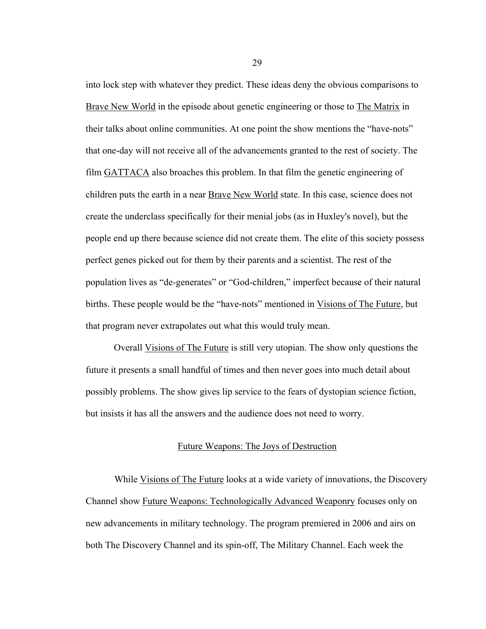into lock step with whatever they predict. These ideas deny the obvious comparisons to Brave New World in the episode about genetic engineering or those to The Matrix in their talks about online communities. At one point the show mentions the "have-nots" that one-day will not receive all of the advancements granted to the rest of society. The film GATTACA also broaches this problem. In that film the genetic engineering of children puts the earth in a near Brave New World state. In this case, science does not create the underclass specifically for their menial jobs (as in Huxley's novel), but the people end up there because science did not create them. The elite of this society possess perfect genes picked out for them by their parents and a scientist. The rest of the population lives as "de-generates" or "God-children," imperfect because of their natural births. These people would be the "have-nots" mentioned in Visions of The Future, but that program never extrapolates out what this would truly mean.

Overall Visions of The Future is still very utopian. The show only questions the future it presents a small handful of times and then never goes into much detail about possibly problems. The show gives lip service to the fears of dystopian science fiction, but insists it has all the answers and the audience does not need to worry.

#### Future Weapons: The Joys of Destruction

While Visions of The Future looks at a wide variety of innovations, the Discovery Channel show Future Weapons: Technologically Advanced Weaponry focuses only on new advancements in military technology. The program premiered in 2006 and airs on both The Discovery Channel and its spin-off, The Military Channel. Each week the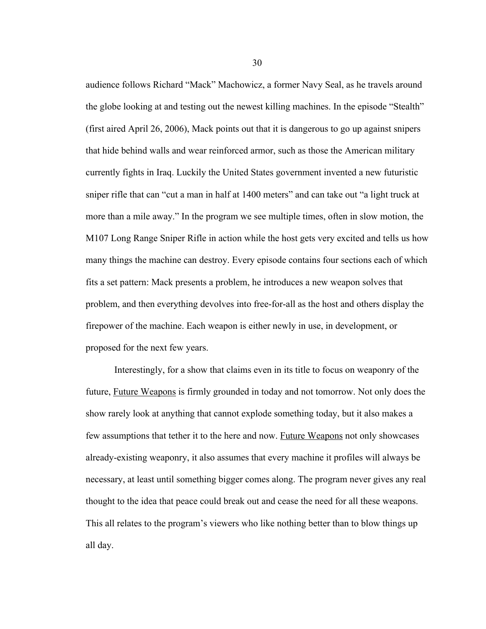audience follows Richard "Mack" Machowicz, a former Navy Seal, as he travels around the globe looking at and testing out the newest killing machines. In the episode "Stealth" (first aired April 26, 2006), Mack points out that it is dangerous to go up against snipers that hide behind walls and wear reinforced armor, such as those the American military currently fights in Iraq. Luckily the United States government invented a new futuristic sniper rifle that can "cut a man in half at 1400 meters" and can take out "a light truck at more than a mile away." In the program we see multiple times, often in slow motion, the M107 Long Range Sniper Rifle in action while the host gets very excited and tells us how many things the machine can destroy. Every episode contains four sections each of which fits a set pattern: Mack presents a problem, he introduces a new weapon solves that problem, and then everything devolves into free-for-all as the host and others display the firepower of the machine. Each weapon is either newly in use, in development, or proposed for the next few years.

Interestingly, for a show that claims even in its title to focus on weaponry of the future, Future Weapons is firmly grounded in today and not tomorrow. Not only does the show rarely look at anything that cannot explode something today, but it also makes a few assumptions that tether it to the here and now. Future Weapons not only showcases already-existing weaponry, it also assumes that every machine it profiles will always be necessary, at least until something bigger comes along. The program never gives any real thought to the idea that peace could break out and cease the need for all these weapons. This all relates to the program's viewers who like nothing better than to blow things up all day.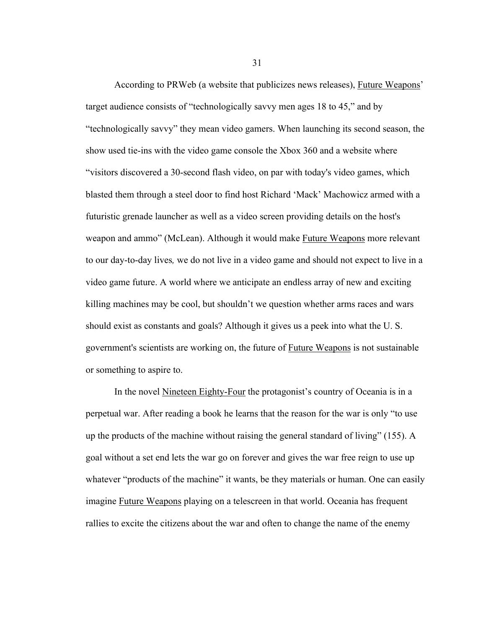According to PRWeb (a website that publicizes news releases), Future Weapons' target audience consists of "technologically savvy men ages 18 to 45," and by "technologically savvy" they mean video gamers. When launching its second season, the show used tie-ins with the video game console the Xbox 360 and a website where "visitors discovered a 30-second flash video, on par with today's video games, which blasted them through a steel door to find host Richard 'Mack' Machowicz armed with a futuristic grenade launcher as well as a video screen providing details on the host's weapon and ammo" (McLean). Although it would make Future Weapons more relevant to our day-to-day lives*,* we do not live in a video game and should not expect to live in a video game future. A world where we anticipate an endless array of new and exciting killing machines may be cool, but shouldn't we question whether arms races and wars should exist as constants and goals? Although it gives us a peek into what the U. S. government's scientists are working on, the future of Future Weapons is not sustainable or something to aspire to.

In the novel Nineteen Eighty-Four the protagonist's country of Oceania is in a perpetual war. After reading a book he learns that the reason for the war is only "to use up the products of the machine without raising the general standard of living" (155). A goal without a set end lets the war go on forever and gives the war free reign to use up whatever "products of the machine" it wants, be they materials or human. One can easily imagine Future Weapons playing on a telescreen in that world. Oceania has frequent rallies to excite the citizens about the war and often to change the name of the enemy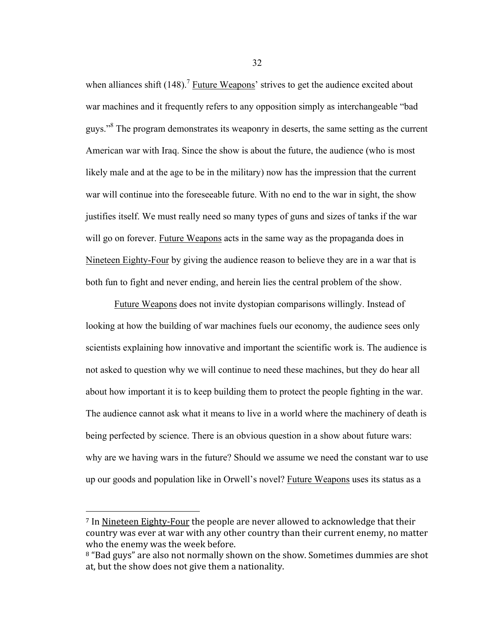when alliances shift  $(148)$ .<sup>7</sup> Future Weapons' strives to get the audience excited about war machines and it frequently refers to any opposition simply as interchangeable "bad guys."<sup>8</sup> The program demonstrates its weaponry in deserts, the same setting as the current American war with Iraq. Since the show is about the future, the audience (who is most likely male and at the age to be in the military) now has the impression that the current war will continue into the foreseeable future. With no end to the war in sight, the show justifies itself. We must really need so many types of guns and sizes of tanks if the war will go on forever. Future Weapons acts in the same way as the propaganda does in Nineteen Eighty-Four by giving the audience reason to believe they are in a war that is both fun to fight and never ending, and herein lies the central problem of the show.

Future Weapons does not invite dystopian comparisons willingly. Instead of looking at how the building of war machines fuels our economy, the audience sees only scientists explaining how innovative and important the scientific work is. The audience is not asked to question why we will continue to need these machines, but they do hear all about how important it is to keep building them to protect the people fighting in the war. The audience cannot ask what it means to live in a world where the machinery of death is being perfected by science. There is an obvious question in a show about future wars: why are we having wars in the future? Should we assume we need the constant war to use up our goods and population like in Orwell's novel? Future Weapons uses its status as a

 $\overline{a}$ 

<sup>&</sup>lt;sup>7</sup> In Nineteen Eighty-Four the people are never allowed to acknowledge that their country was ever at war with any other country than their current enemy, no matter who
the
enemy
was
the
week
before.

<sup>&</sup>lt;sup>8</sup> "Bad guys" are also not normally shown on the show. Sometimes dummies are shot at,
but
the
show
does
not
give
them
a
nationality.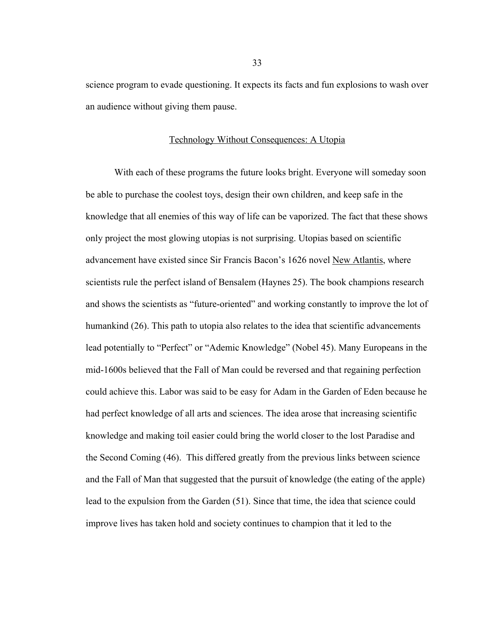science program to evade questioning. It expects its facts and fun explosions to wash over an audience without giving them pause.

#### Technology Without Consequences: A Utopia

With each of these programs the future looks bright. Everyone will someday soon be able to purchase the coolest toys, design their own children, and keep safe in the knowledge that all enemies of this way of life can be vaporized. The fact that these shows only project the most glowing utopias is not surprising. Utopias based on scientific advancement have existed since Sir Francis Bacon's 1626 novel New Atlantis, where scientists rule the perfect island of Bensalem (Haynes 25). The book champions research and shows the scientists as "future-oriented" and working constantly to improve the lot of humankind (26). This path to utopia also relates to the idea that scientific advancements lead potentially to "Perfect" or "Ademic Knowledge" (Nobel 45). Many Europeans in the mid-1600s believed that the Fall of Man could be reversed and that regaining perfection could achieve this. Labor was said to be easy for Adam in the Garden of Eden because he had perfect knowledge of all arts and sciences. The idea arose that increasing scientific knowledge and making toil easier could bring the world closer to the lost Paradise and the Second Coming (46). This differed greatly from the previous links between science and the Fall of Man that suggested that the pursuit of knowledge (the eating of the apple) lead to the expulsion from the Garden (51). Since that time, the idea that science could improve lives has taken hold and society continues to champion that it led to the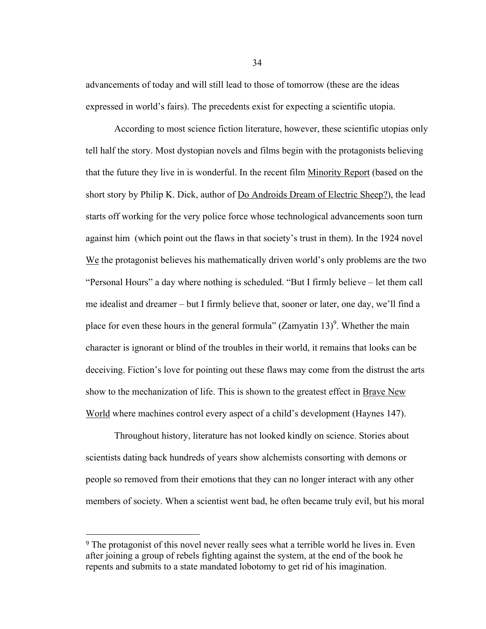advancements of today and will still lead to those of tomorrow (these are the ideas expressed in world's fairs). The precedents exist for expecting a scientific utopia.

According to most science fiction literature, however, these scientific utopias only tell half the story. Most dystopian novels and films begin with the protagonists believing that the future they live in is wonderful. In the recent film Minority Report (based on the short story by Philip K. Dick, author of Do Androids Dream of Electric Sheep?), the lead starts off working for the very police force whose technological advancements soon turn against him (which point out the flaws in that society's trust in them). In the 1924 novel We the protagonist believes his mathematically driven world's only problems are the two "Personal Hours" a day where nothing is scheduled. "But I firmly believe – let them call me idealist and dreamer – but I firmly believe that, sooner or later, one day, we'll find a place for even these hours in the general formula" (Zamyatin  $13$ )<sup>9</sup>. Whether the main character is ignorant or blind of the troubles in their world, it remains that looks can be deceiving. Fiction's love for pointing out these flaws may come from the distrust the arts show to the mechanization of life. This is shown to the greatest effect in Brave New World where machines control every aspect of a child's development (Haynes 147).

Throughout history, literature has not looked kindly on science. Stories about scientists dating back hundreds of years show alchemists consorting with demons or people so removed from their emotions that they can no longer interact with any other members of society. When a scientist went bad, he often became truly evil, but his moral

 $\overline{a}$ 

<sup>&</sup>lt;sup>9</sup> The protagonist of this novel never really sees what a terrible world he lives in. Even after joining a group of rebels fighting against the system, at the end of the book he repents and submits to a state mandated lobotomy to get rid of his imagination.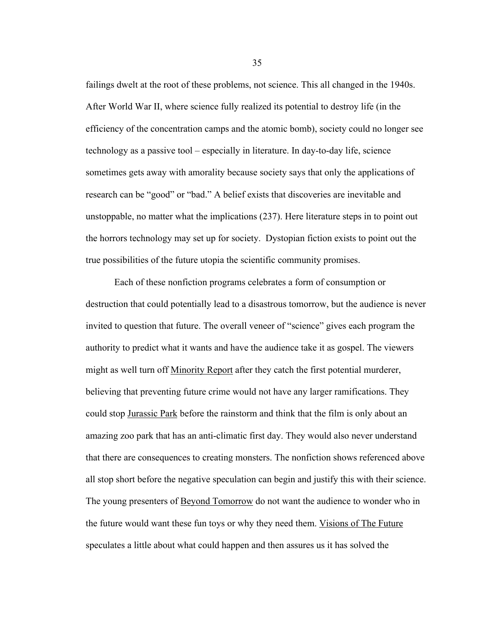failings dwelt at the root of these problems, not science. This all changed in the 1940s. After World War II, where science fully realized its potential to destroy life (in the efficiency of the concentration camps and the atomic bomb), society could no longer see technology as a passive tool – especially in literature. In day-to-day life, science sometimes gets away with amorality because society says that only the applications of research can be "good" or "bad." A belief exists that discoveries are inevitable and unstoppable, no matter what the implications (237). Here literature steps in to point out the horrors technology may set up for society. Dystopian fiction exists to point out the true possibilities of the future utopia the scientific community promises.

Each of these nonfiction programs celebrates a form of consumption or destruction that could potentially lead to a disastrous tomorrow, but the audience is never invited to question that future. The overall veneer of "science" gives each program the authority to predict what it wants and have the audience take it as gospel. The viewers might as well turn off Minority Report after they catch the first potential murderer, believing that preventing future crime would not have any larger ramifications. They could stop Jurassic Park before the rainstorm and think that the film is only about an amazing zoo park that has an anti-climatic first day. They would also never understand that there are consequences to creating monsters. The nonfiction shows referenced above all stop short before the negative speculation can begin and justify this with their science. The young presenters of Beyond Tomorrow do not want the audience to wonder who in the future would want these fun toys or why they need them. Visions of The Future speculates a little about what could happen and then assures us it has solved the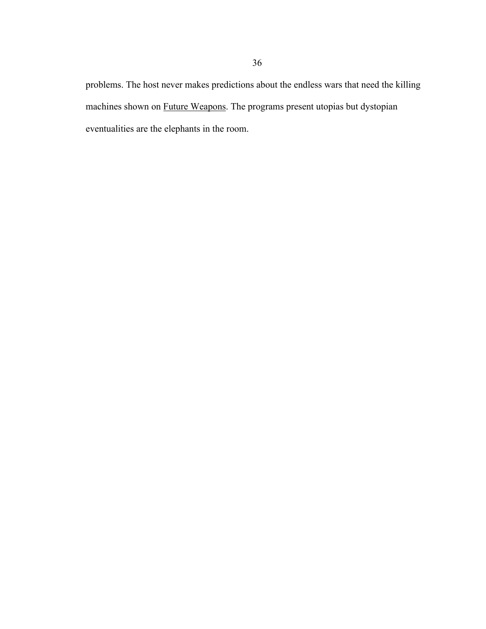problems. The host never makes predictions about the endless wars that need the killing machines shown on Future Weapons. The programs present utopias but dystopian eventualities are the elephants in the room.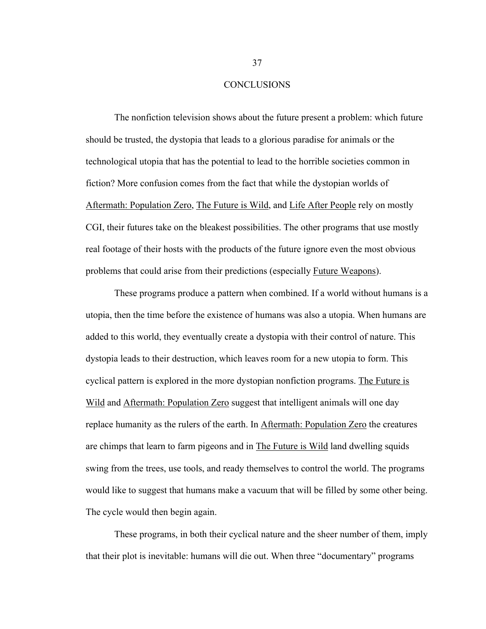#### **CONCLUSIONS**

The nonfiction television shows about the future present a problem: which future should be trusted, the dystopia that leads to a glorious paradise for animals or the technological utopia that has the potential to lead to the horrible societies common in fiction? More confusion comes from the fact that while the dystopian worlds of Aftermath: Population Zero, The Future is Wild, and Life After People rely on mostly CGI, their futures take on the bleakest possibilities. The other programs that use mostly real footage of their hosts with the products of the future ignore even the most obvious problems that could arise from their predictions (especially Future Weapons).

These programs produce a pattern when combined. If a world without humans is a utopia, then the time before the existence of humans was also a utopia. When humans are added to this world, they eventually create a dystopia with their control of nature. This dystopia leads to their destruction, which leaves room for a new utopia to form. This cyclical pattern is explored in the more dystopian nonfiction programs. The Future is Wild and Aftermath: Population Zero suggest that intelligent animals will one day replace humanity as the rulers of the earth. In Aftermath: Population Zero the creatures are chimps that learn to farm pigeons and in The Future is Wild land dwelling squids swing from the trees, use tools, and ready themselves to control the world. The programs would like to suggest that humans make a vacuum that will be filled by some other being. The cycle would then begin again.

These programs, in both their cyclical nature and the sheer number of them, imply that their plot is inevitable: humans will die out. When three "documentary" programs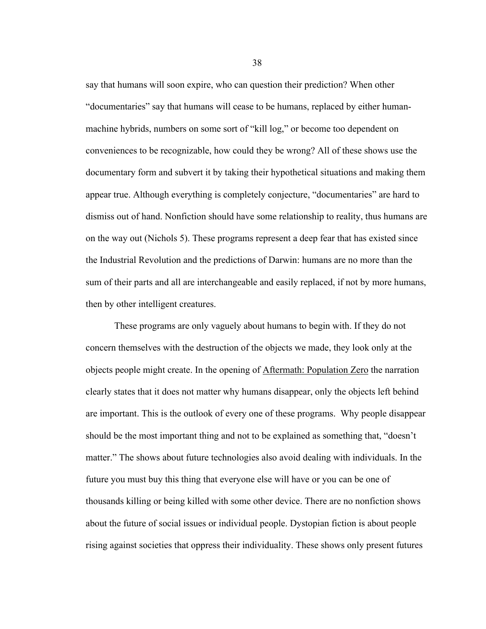say that humans will soon expire, who can question their prediction? When other "documentaries" say that humans will cease to be humans, replaced by either humanmachine hybrids, numbers on some sort of "kill log," or become too dependent on conveniences to be recognizable, how could they be wrong? All of these shows use the documentary form and subvert it by taking their hypothetical situations and making them appear true. Although everything is completely conjecture, "documentaries" are hard to dismiss out of hand. Nonfiction should have some relationship to reality, thus humans are on the way out (Nichols 5). These programs represent a deep fear that has existed since the Industrial Revolution and the predictions of Darwin: humans are no more than the sum of their parts and all are interchangeable and easily replaced, if not by more humans, then by other intelligent creatures.

These programs are only vaguely about humans to begin with. If they do not concern themselves with the destruction of the objects we made, they look only at the objects people might create. In the opening of Aftermath: Population Zero the narration clearly states that it does not matter why humans disappear, only the objects left behind are important. This is the outlook of every one of these programs. Why people disappear should be the most important thing and not to be explained as something that, "doesn't matter." The shows about future technologies also avoid dealing with individuals. In the future you must buy this thing that everyone else will have or you can be one of thousands killing or being killed with some other device. There are no nonfiction shows about the future of social issues or individual people. Dystopian fiction is about people rising against societies that oppress their individuality. These shows only present futures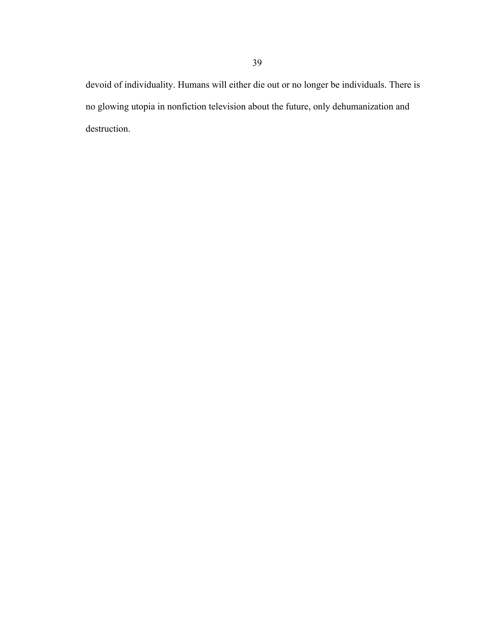devoid of individuality. Humans will either die out or no longer be individuals. There is no glowing utopia in nonfiction television about the future, only dehumanization and destruction.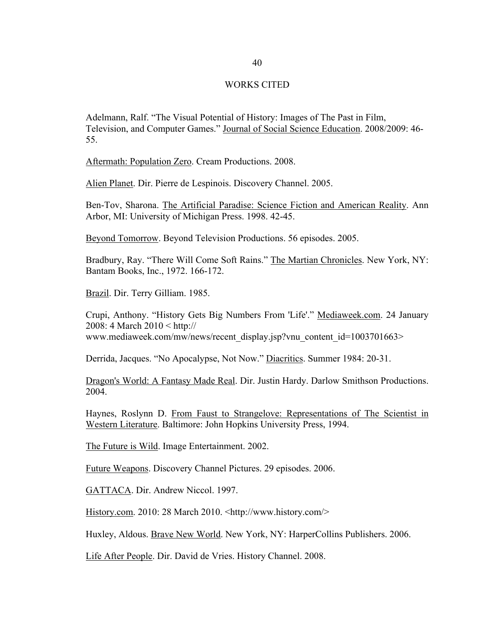#### WORKS CITED

Adelmann, Ralf. "The Visual Potential of History: Images of The Past in Film, Television, and Computer Games." Journal of Social Science Education. 2008/2009: 46- 55.

Aftermath: Population Zero. Cream Productions. 2008.

Alien Planet. Dir. Pierre de Lespinois. Discovery Channel. 2005.

Ben-Tov, Sharona. The Artificial Paradise: Science Fiction and American Reality. Ann Arbor, MI: University of Michigan Press. 1998. 42-45.

Beyond Tomorrow. Beyond Television Productions. 56 episodes. 2005.

Bradbury, Ray. "There Will Come Soft Rains." The Martian Chronicles. New York, NY: Bantam Books, Inc., 1972. 166-172.

Brazil. Dir. Terry Gilliam. 1985.

Crupi, Anthony. "History Gets Big Numbers From 'Life'." Mediaweek.com. 24 January 2008: 4 March 2010 < http:// www.mediaweek.com/mw/news/recent\_display.jsp?vnu\_content\_id=1003701663>

Derrida, Jacques. "No Apocalypse, Not Now." Diacritics. Summer 1984: 20-31.

Dragon's World: A Fantasy Made Real. Dir. Justin Hardy. Darlow Smithson Productions. 2004.

Haynes, Roslynn D. From Faust to Strangelove: Representations of The Scientist in Western Literature. Baltimore: John Hopkins University Press, 1994.

The Future is Wild. Image Entertainment. 2002.

Future Weapons. Discovery Channel Pictures. 29 episodes. 2006.

GATTACA. Dir. Andrew Niccol. 1997.

History.com. 2010: 28 March 2010. <http://www.history.com/>

Huxley, Aldous. Brave New World. New York, NY: HarperCollins Publishers. 2006.

Life After People. Dir. David de Vries. History Channel. 2008.